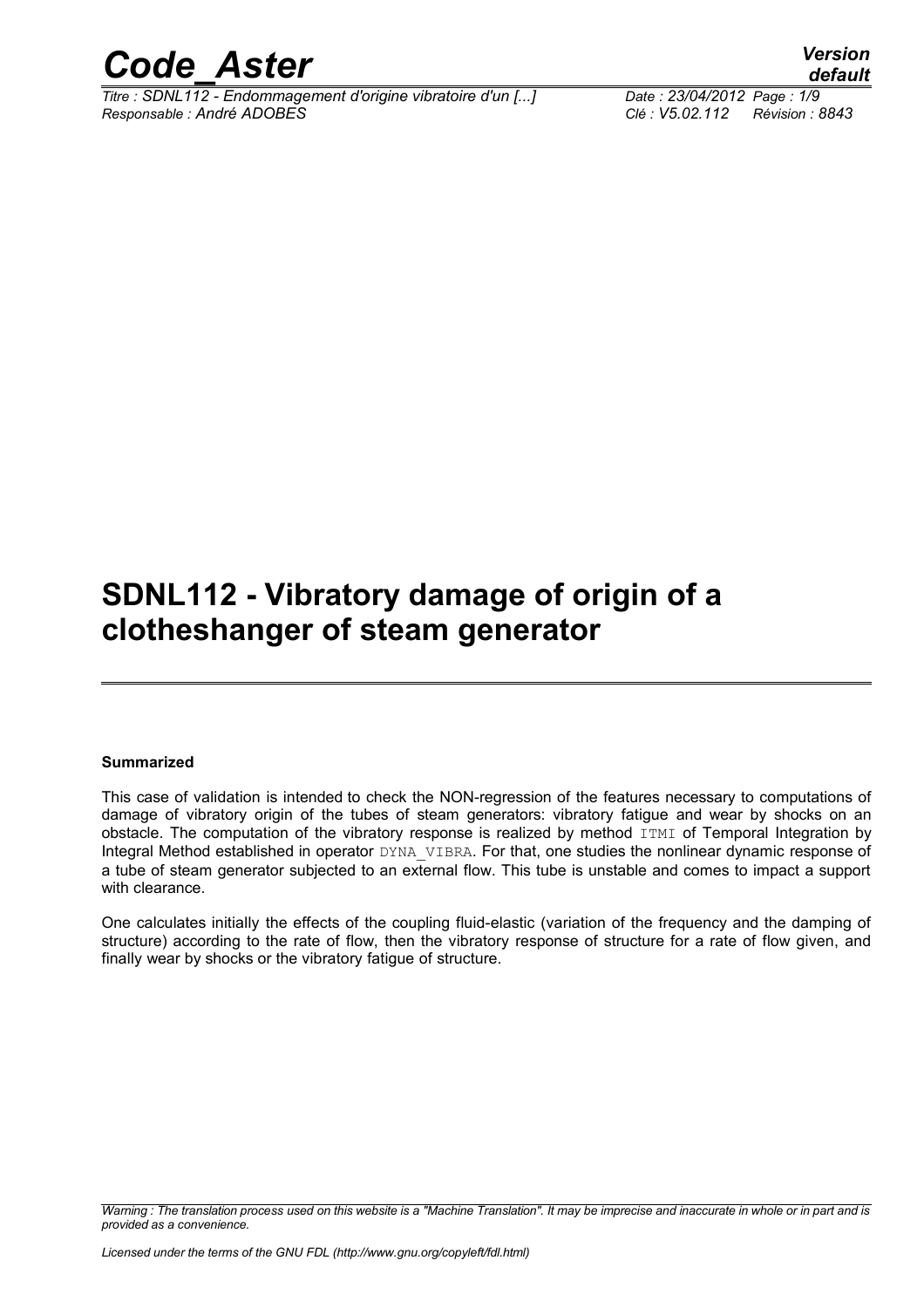

*Titre : SDNL112 - Endommagement d'origine vibratoire d'un [...] Date : 23/04/2012 Page : 1/9 Responsable : André ADOBES Clé : V5.02.112 Révision : 8843*

*default*

### **SDNL112 - Vibratory damage of origin of a clotheshanger of steam generator**

#### **Summarized**

This case of validation is intended to check the NON-regression of the features necessary to computations of damage of vibratory origin of the tubes of steam generators: vibratory fatigue and wear by shocks on an obstacle. The computation of the vibratory response is realized by method ITMI of Temporal Integration by Integral Method established in operator DYNA\_VIBRA. For that, one studies the nonlinear dynamic response of a tube of steam generator subjected to an external flow. This tube is unstable and comes to impact a support with clearance.

One calculates initially the effects of the coupling fluid-elastic (variation of the frequency and the damping of structure) according to the rate of flow, then the vibratory response of structure for a rate of flow given, and finally wear by shocks or the vibratory fatigue of structure.

*Warning : The translation process used on this website is a "Machine Translation". It may be imprecise and inaccurate in whole or in part and is provided as a convenience.*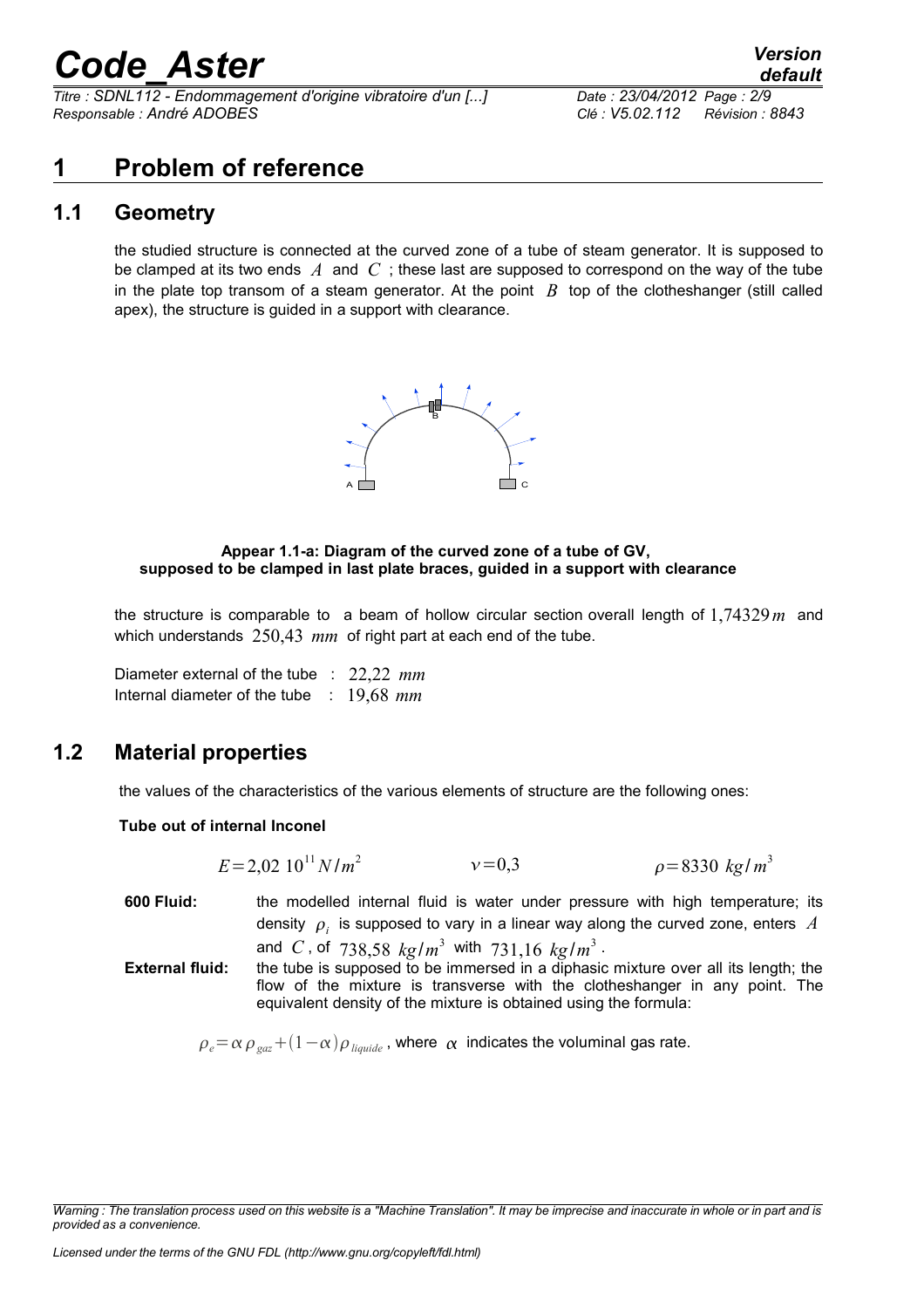*Titre : SDNL112 - Endommagement d'origine vibratoire d'un [...] Date : 23/04/2012 Page : 2/9 Responsable : André ADOBES Clé : V5.02.112 Révision : 8843*

#### **1 Problem of reference**

#### **1.1 Geometry**

the studied structure is connected at the curved zone of a tube of steam generator. It is supposed to be clamped at its two ends *A* and *C* ; these last are supposed to correspond on the way of the tube in the plate top transom of a steam generator. At the point  $B$  top of the clotheshanger (still called apex), the structure is guided in a support with clearance.



#### **Appear 1.1-a: Diagram of the curved zone of a tube of GV, supposed to be clamped in last plate braces, guided in a support with clearance**

the structure is comparable to a beam of hollow circular section overall length of 1,74329*m* and which understands 250,43 mm of right part at each end of the tube.

Diameter external of the tube : 22,22 *mm* Internal diameter of the tube : 19,68 *mm*

#### **1.2 Material properties**

the values of the characteristics of the various elements of structure are the following ones:

#### **Tube out of internal Inconel**

 $E = 2.02 10^{11} N/m^2$  $v = 0.3$  $\rho = 8330 \text{ kg/m}^3$ 

**600 Fluid:** the modelled internal fluid is water under pressure with high temperature; its density  $\rho_i^+$  is supposed to vary in a linear way along the curved zone, enters  $|A|$ and  $C$ , of  $738,58$   $kg/m^3$  with  $731,16$   $kg/m^3$ . **External fluid:** the tube is supposed to be immersed in a diphasic mixture over all its length; the

flow of the mixture is transverse with the clotheshanger in any point. The equivalent density of the mixture is obtained using the formula:

 $\rho_e = \alpha \rho_{\text{gas}} + (1 - \alpha) \rho_{\text{liquid}}$ , where  $\alpha$  indicates the voluminal gas rate.

*Warning : The translation process used on this website is a "Machine Translation". It may be imprecise and inaccurate in whole or in part and is provided as a convenience.*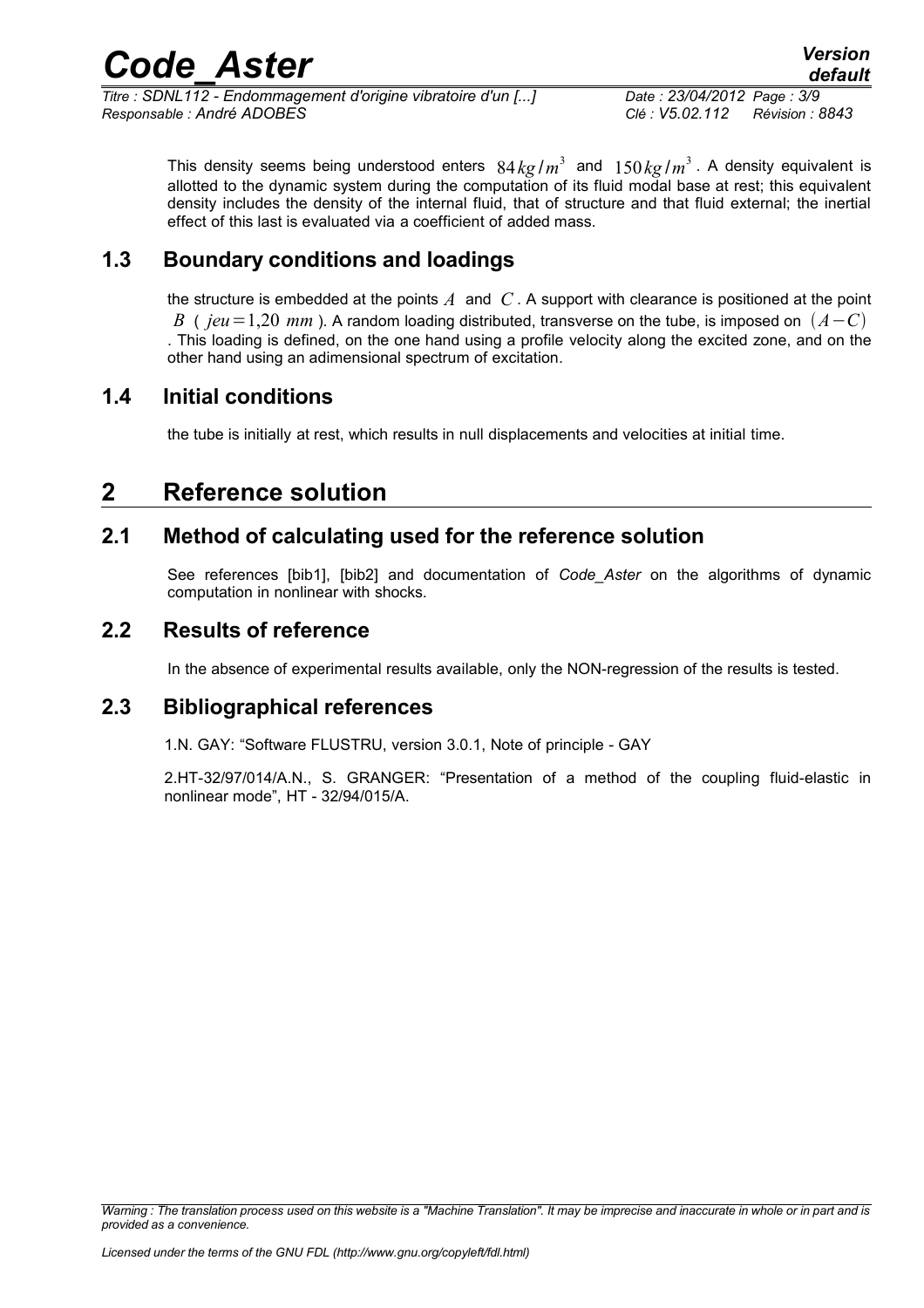*Titre : SDNL112 - Endommagement d'origine vibratoire d'un [...] Date : 23/04/2012 Page : 3/9 Responsable : André ADOBES Clé : V5.02.112 Révision : 8843*

*default*

This density seems being understood enters  $84 \, kg/m^3$  and  $150 \, kg/m^3$ . A density equivalent is allotted to the dynamic system during the computation of its fluid modal base at rest; this equivalent density includes the density of the internal fluid, that of structure and that fluid external; the inertial effect of this last is evaluated via a coefficient of added mass.

#### **1.3 Boundary conditions and loadings**

the structure is embedded at the points *A* and *C* . A support with clearance is positioned at the point *B* (  $jeu=1,20$  *mm* ). A random loading distributed, transverse on the tube, is imposed on  $(A-C)$ . This loading is defined, on the one hand using a profile velocity along the excited zone, and on the other hand using an adimensional spectrum of excitation.

#### **1.4 Initial conditions**

the tube is initially at rest, which results in null displacements and velocities at initial time.

#### **2 Reference solution**

#### **2.1 Method of calculating used for the reference solution**

See references [bib1], [bib2] and documentation of *Code\_Aster* on the algorithms of dynamic computation in nonlinear with shocks.

#### **2.2 Results of reference**

In the absence of experimental results available, only the NON-regression of the results is tested.

#### **2.3 Bibliographical references**

1.N. GAY: "Software FLUSTRU, version 3.0.1, Note of principle - GAY

2.HT-32/97/014/A.N., S. GRANGER: "Presentation of a method of the coupling fluid-elastic in nonlinear mode", HT - 32/94/015/A.

*Warning : The translation process used on this website is a "Machine Translation". It may be imprecise and inaccurate in whole or in part and is provided as a convenience.*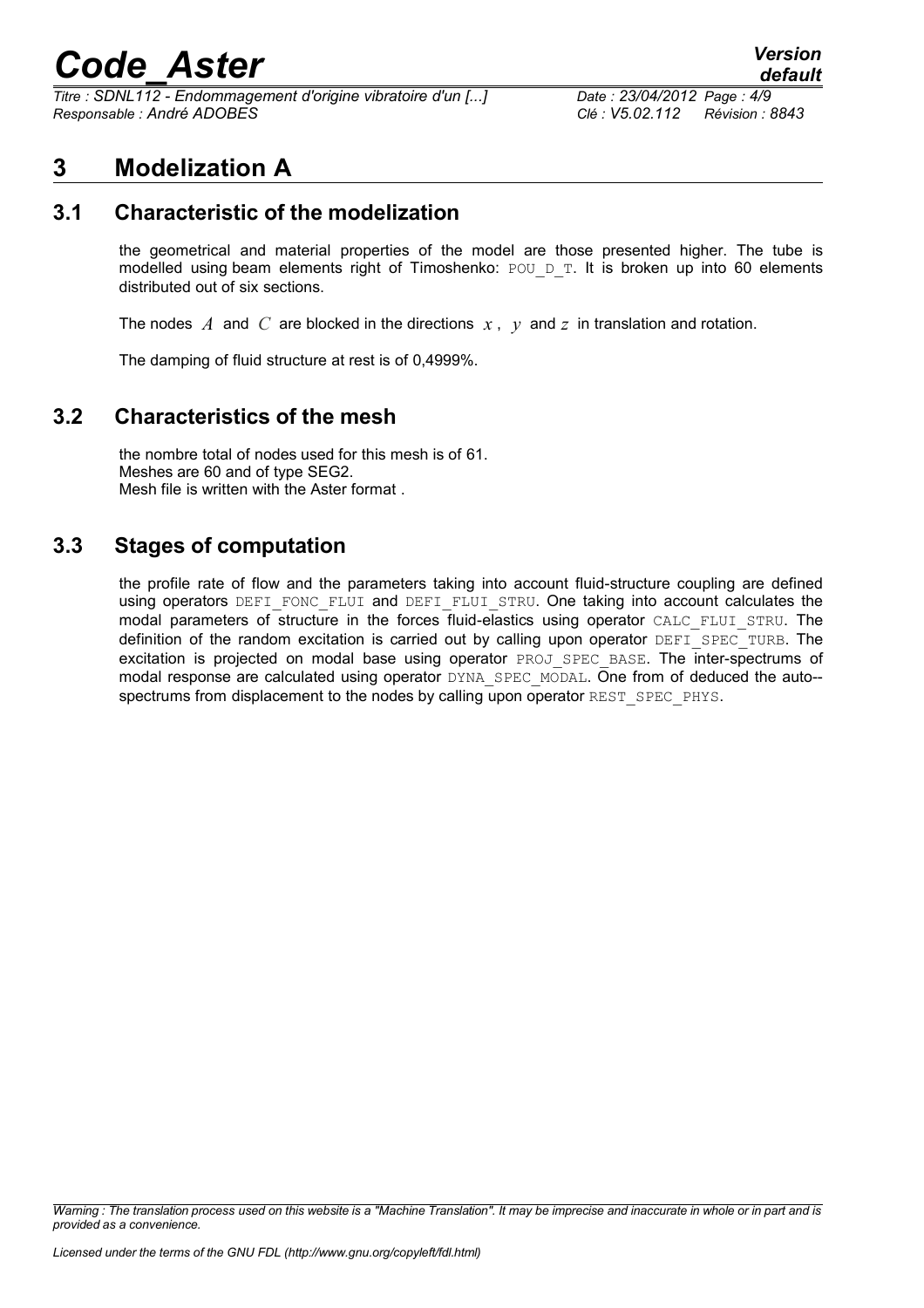*Titre : SDNL112 - Endommagement d'origine vibratoire d'un [...] Date : 23/04/2012 Page : 4/9 Responsable : André ADOBES Clé : V5.02.112 Révision : 8843*

#### **3 Modelization A**

#### **3.1 Characteristic of the modelization**

the geometrical and material properties of the model are those presented higher. The tube is modelled using beam elements right of Timoshenko:  $POU/DT$ . It is broken up into 60 elements distributed out of six sections.

The nodes *A* and *C* are blocked in the directions *x* , *y* and *z* in translation and rotation.

The damping of fluid structure at rest is of 0,4999%.

#### **3.2 Characteristics of the mesh**

the nombre total of nodes used for this mesh is of 61. Meshes are 60 and of type SEG2. Mesh file is written with the Aster format .

#### **3.3 Stages of computation**

the profile rate of flow and the parameters taking into account fluid-structure coupling are defined using operators DEFI\_FONC\_FLUI and DEFI\_FLUI\_STRU. One taking into account calculates the modal parameters of structure in the forces fluid-elastics using operator CALC FLUI STRU. The definition of the random excitation is carried out by calling upon operator DEFI\_SPEC\_TURB. The excitation is projected on modal base using operator PROJ SPEC BASE. The inter-spectrums of modal response are calculated using operator DYNA\_SPEC\_MODAL. One from of deduced the auto-spectrums from displacement to the nodes by calling upon operator REST\_SPEC\_PHYS.

*Warning : The translation process used on this website is a "Machine Translation". It may be imprecise and inaccurate in whole or in part and is provided as a convenience.*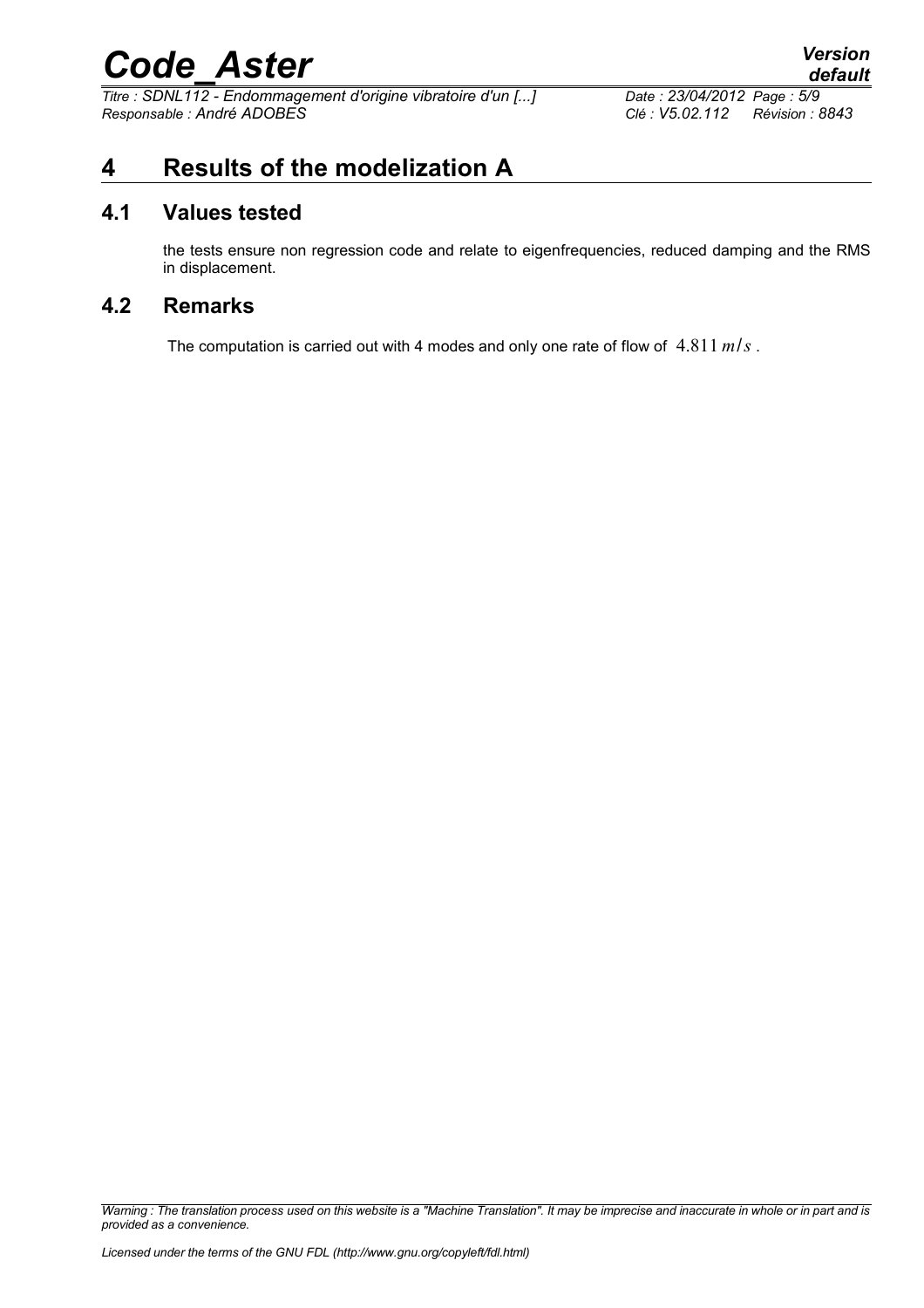*Titre : SDNL112 - Endommagement d'origine vibratoire d'un [...] Date : 23/04/2012 Page : 5/9 Responsable : André ADOBES Clé : V5.02.112 Révision : 8843*

### **4 Results of the modelization A**

#### **4.1 Values tested**

the tests ensure non regression code and relate to eigenfrequencies, reduced damping and the RMS in displacement.

#### **4.2 Remarks**

The computation is carried out with 4 modes and only one rate of flow of 4.811 *m*/*s* .

*Warning : The translation process used on this website is a "Machine Translation". It may be imprecise and inaccurate in whole or in part and is provided as a convenience.*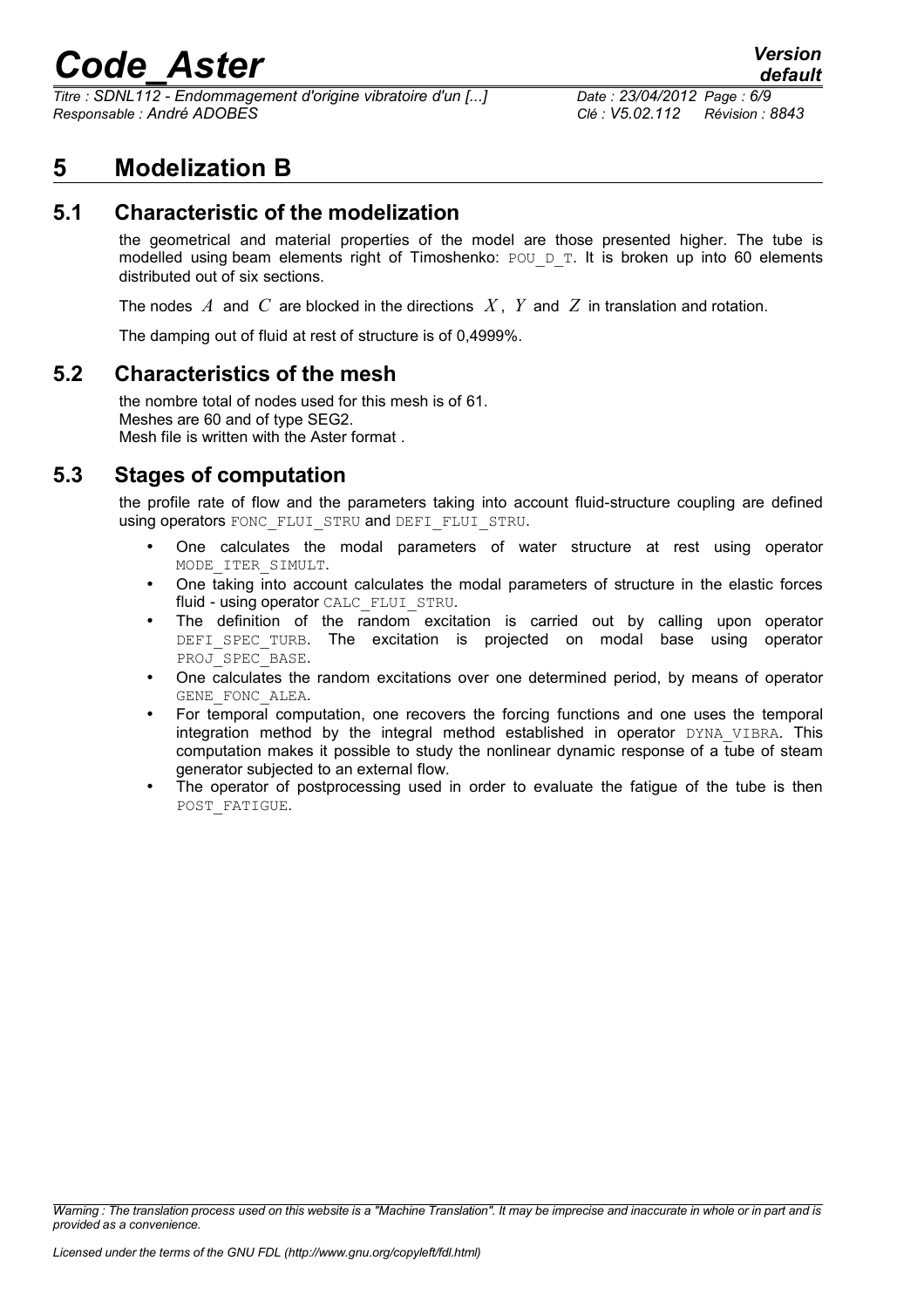*Titre : SDNL112 - Endommagement d'origine vibratoire d'un [...] Date : 23/04/2012 Page : 6/9 Responsable : André ADOBES Clé : V5.02.112 Révision : 8843*

#### **5 Modelization B**

#### **5.1 Characteristic of the modelization**

the geometrical and material properties of the model are those presented higher. The tube is modelled using beam elements right of Timoshenko:  $POU/DT$ . It is broken up into 60 elements distributed out of six sections.

The nodes *A* and *C* are blocked in the directions *X* , *Y* and *Z* in translation and rotation.

The damping out of fluid at rest of structure is of 0,4999%.

#### **5.2 Characteristics of the mesh**

the nombre total of nodes used for this mesh is of 61. Meshes are 60 and of type SEG2. Mesh file is written with the Aster format .

#### **5.3 Stages of computation**

the profile rate of flow and the parameters taking into account fluid-structure coupling are defined using operators FONC\_FLUI\_STRU and DEFI\_FLUI\_STRU.

- One calculates the modal parameters of water structure at rest using operator MODE\_ITER\_SIMULT.
- One taking into account calculates the modal parameters of structure in the elastic forces fluid - using operator CALC\_FLUI\_STRU.
- The definition of the random excitation is carried out by calling upon operator DEFI SPEC TURB. The excitation is projected on modal base using operator PROJ SPEC BASE.
- One calculates the random excitations over one determined period, by means of operator GENE\_FONC\_ALEA.
- For temporal computation, one recovers the forcing functions and one uses the temporal integration method by the integral method established in operator DYNA\_VIBRA. This computation makes it possible to study the nonlinear dynamic response of a tube of steam generator subjected to an external flow.
- The operator of postprocessing used in order to evaluate the fatigue of the tube is then POST\_FATIGUE.

*Warning : The translation process used on this website is a "Machine Translation". It may be imprecise and inaccurate in whole or in part and is provided as a convenience.*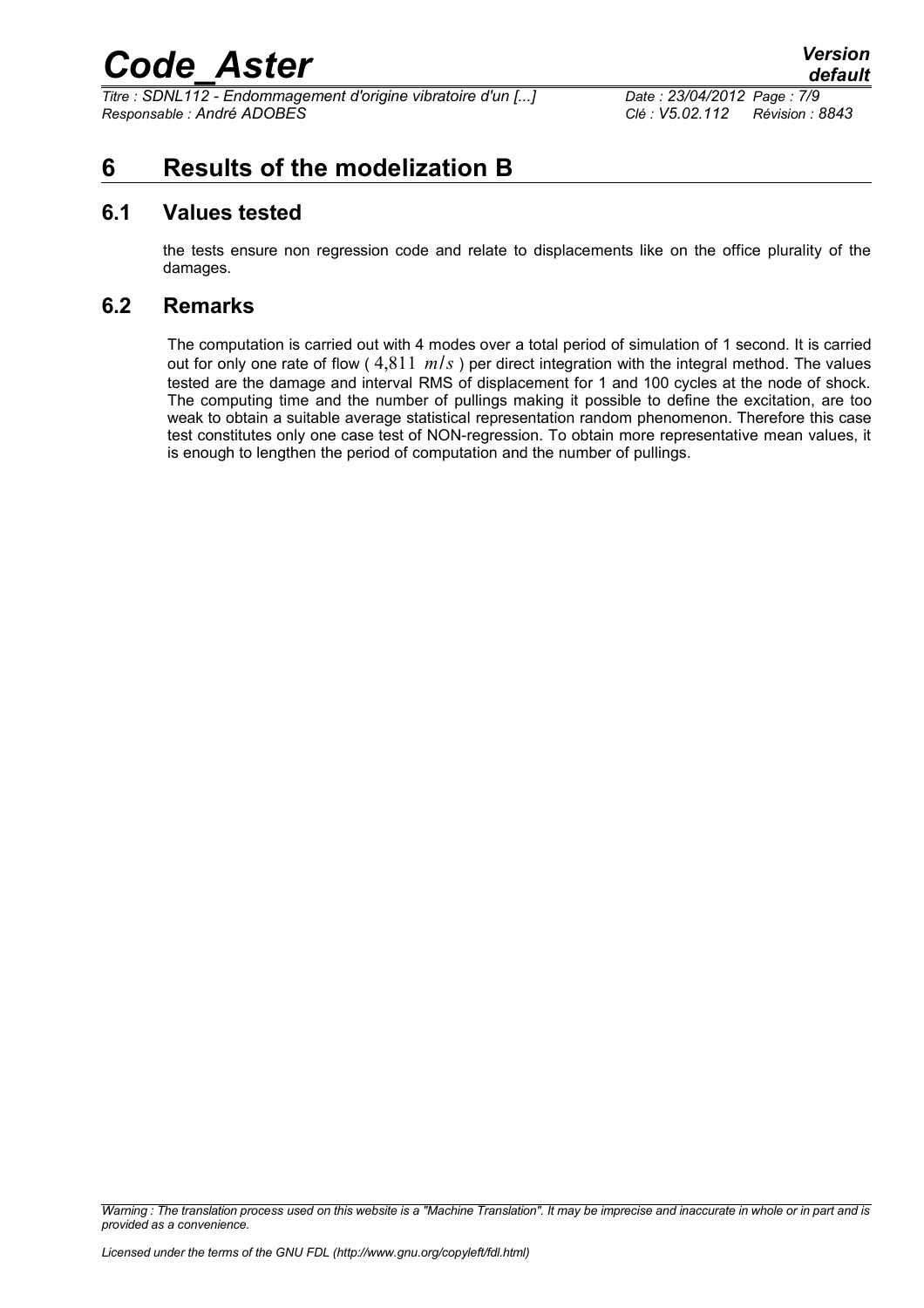*Titre : SDNL112 - Endommagement d'origine vibratoire d'un [...] Date : 23/04/2012 Page : 7/9 Responsable : André ADOBES Clé : V5.02.112 Révision : 8843*

#### **6 Results of the modelization B**

#### **6.1 Values tested**

the tests ensure non regression code and relate to displacements like on the office plurality of the damages.

#### **6.2 Remarks**

The computation is carried out with 4 modes over a total period of simulation of 1 second. It is carried out for only one rate of flow ( 4,811 *m*/*s* ) per direct integration with the integral method. The values tested are the damage and interval RMS of displacement for 1 and 100 cycles at the node of shock. The computing time and the number of pullings making it possible to define the excitation, are too weak to obtain a suitable average statistical representation random phenomenon. Therefore this case test constitutes only one case test of NON-regression. To obtain more representative mean values, it is enough to lengthen the period of computation and the number of pullings.

*Warning : The translation process used on this website is a "Machine Translation". It may be imprecise and inaccurate in whole or in part and is provided as a convenience.*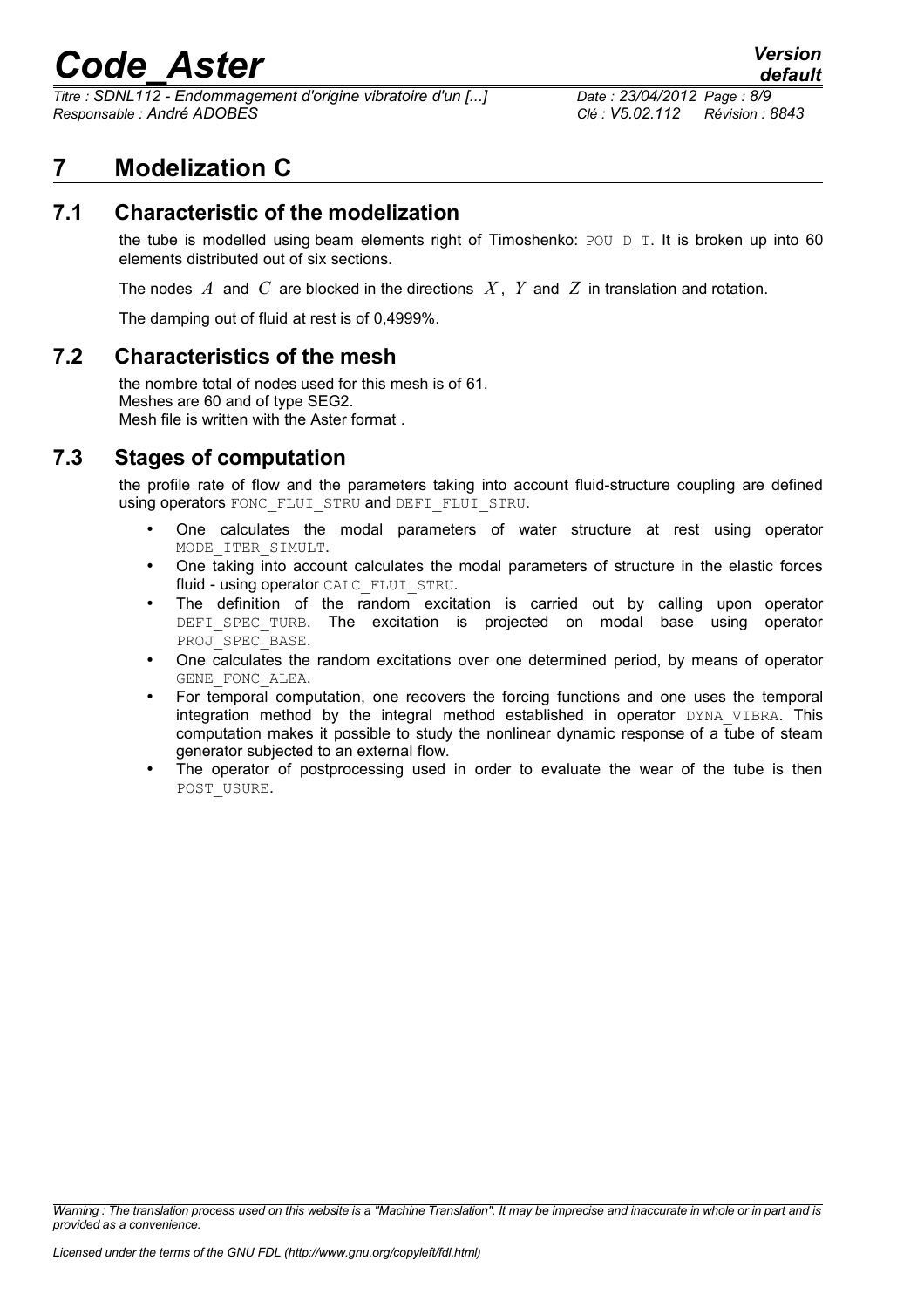*Titre : SDNL112 - Endommagement d'origine vibratoire d'un [...] Date : 23/04/2012 Page : 8/9 Responsable : André ADOBES Clé : V5.02.112 Révision : 8843*

#### **7 Modelization C**

#### **7.1 Characteristic of the modelization**

the tube is modelled using beam elements right of Timoshenko:  $POU\_D_T$ . It is broken up into 60 elements distributed out of six sections.

The nodes *A* and *C* are blocked in the directions *X* , *Y* and *Z* in translation and rotation.

The damping out of fluid at rest is of 0,4999%.

#### **7.2 Characteristics of the mesh**

the nombre total of nodes used for this mesh is of 61. Meshes are 60 and of type SEG2. Mesh file is written with the Aster format .

#### **7.3 Stages of computation**

the profile rate of flow and the parameters taking into account fluid-structure coupling are defined using operators FONC\_FLUI\_STRU and DEFI\_FLUI\_STRU.

- One calculates the modal parameters of water structure at rest using operator MODE\_ITER\_SIMULT.
- One taking into account calculates the modal parameters of structure in the elastic forces fluid - using operator CALC\_FLUI\_STRU.
- The definition of the random excitation is carried out by calling upon operator DEFI SPEC TURB. The excitation is projected on modal base using operator PROJ SPEC BASE.
- One calculates the random excitations over one determined period, by means of operator GENE FONC ALEA.
- For temporal computation, one recovers the forcing functions and one uses the temporal integration method by the integral method established in operator DYNA VIBRA. This computation makes it possible to study the nonlinear dynamic response of a tube of steam generator subjected to an external flow.
- The operator of postprocessing used in order to evaluate the wear of the tube is then POST\_USURE.

*Warning : The translation process used on this website is a "Machine Translation". It may be imprecise and inaccurate in whole or in part and is provided as a convenience.*